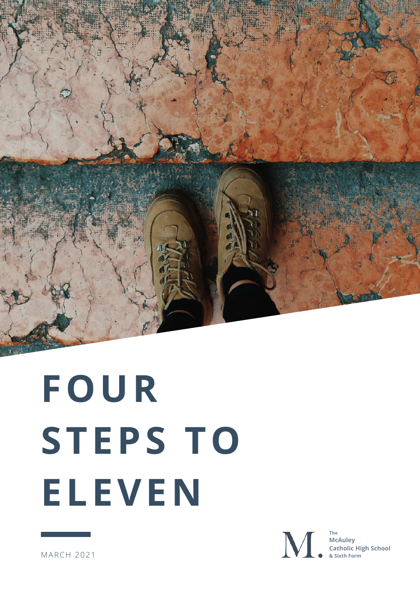

# **FOUR STEPS TO ELEVEN**



**The McAuley Catholic High School & Sixth Form**

MARCH 2021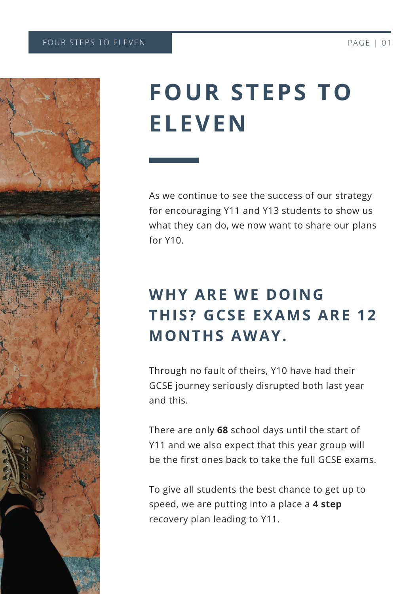

# **FOUR STEPS TO ELEVEN**

As we continue to see the success of our strategy for encouraging Y11 and Y13 students to show us what they can do, we now want to share our plans for Y10.

# **WHY ARE WE DOING THIS? GCSE EXAMS ARE 12 MONTHS AWAY.**

Through no fault of theirs, Y10 have had their GCSE journey seriously disrupted both last year and this.

There are only **68** school days until the start of Y11 and we also expect that this year group will be the first ones back to take the full GCSE exams.

To give all students the best chance to get up to speed, we are putting into a place a **4 step** recovery plan leading to Y11.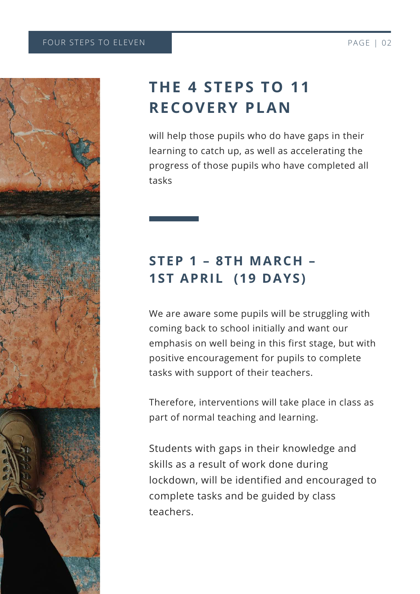

### **THE 4 STEPS TO 11 RECOVERY PLAN**

will help those pupils who do have gaps in their learning to catch up, as well as accelerating the progress of those pupils who have completed all tasks

#### **STEP 1 – 8TH MARCH – 1ST APRIL (19 DAYS)**

We are aware some pupils will be struggling with coming back to school initially and want our emphasis on well being in this first stage, but with positive encouragement for pupils to complete tasks with support of their teachers.

Therefore, interventions will take place in class as part of normal teaching and learning.

Students with gaps in their knowledge and skills as a result of work done during lockdown, will be identified and encouraged to complete tasks and be guided by class teachers.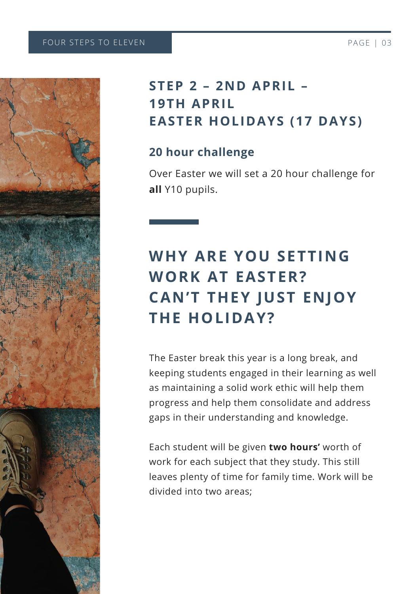

#### **STEP 2 – 2ND APRIL – 19TH APRIL EASTER HOLIDAYS (17 DAYS)**

#### **20 hour challenge**

Over Easter we will set a 20 hour challenge for **all** Y10 pupils.

# **WHY ARE YOU SETTING WORK AT EASTER? CAN'T THEY JUST ENJOY THE HOLIDAY?**

The Easter break this year is a long break, and keeping students engaged in their learning as well as maintaining a solid work ethic will help them progress and help them consolidate and address gaps in their understanding and knowledge.

Each student will be given **two hours'** worth of work for each subject that they study. This still leaves plenty of time for family time. Work will be divided into two areas;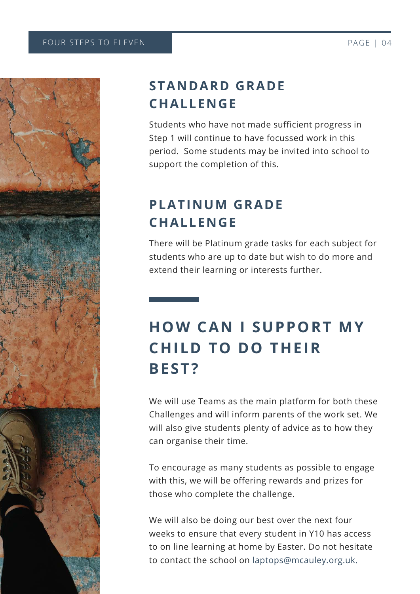

#### **STANDARD GRADE CHALLENGE**

Students who have not made sufficient progress in Step 1 will continue to have focussed work in this period. Some students may be invited into school to support the completion of this.

#### **PLATINUM GRADE CHALLENGE**

There will be Platinum grade tasks for each subject for students who are up to date but wish to do more and extend their learning or interests further.

### **HOW CAN I SUPPORT MY CHILD TO DO THEIR BEST?**

We will use Teams as the main platform for both these Challenges and will inform parents of the work set. We will also give students plenty of advice as to how they can organise their time.

To encourage as many students as possible to engage with this, we will be offering rewards and prizes for those who complete the challenge.

We will also be doing our best over the next four weeks to ensure that every student in Y10 has access to on line learning at home by Easter. Do not hesitate to contact the school on laptops@mcauley.org.uk.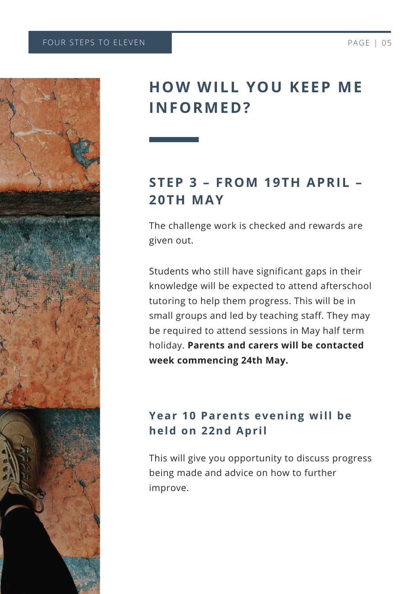

#### **HOW WILL YOU KEEP ME INFORMED?**

#### **STEP 3 – FROM 19TH APRIL – 20TH MAY**

The challenge work is checked and rewards are given out.

Students who still have significant gaps in their knowledge will be expected to attend afterschool tutoring to help them progress. This will be in small groups and led by teaching staff. They may be required to attend sessions in May half term holiday. **Parents and carers will be contacted week commencing 24th May.**

#### **Year 10 Parents evening will be held on 22nd Apr il**

This will give you opportunity to discuss progress being made and advice on how to further improve.